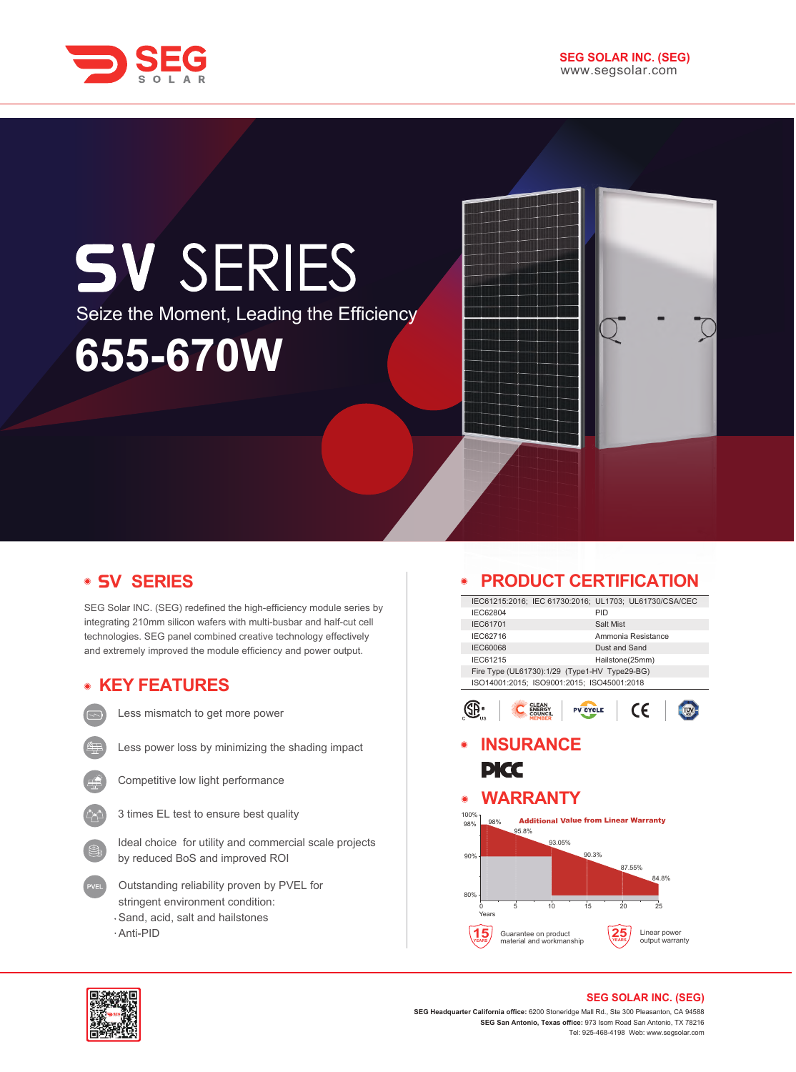

# **SV SERIES** Seize the Moment, Leading the Efficiency**655-670W**

## **V SERIES**

SEG Solar INC. (SEG) redefined the high-efficiency module series by integrating 210mm silicon wafers with multi-busbar and half-cut cell technologies. SEG panel combined creative technology effectively and extremely improved the module efficiency and power output.

#### **KEY FEATURES**



Less mismatch to get more power



Less power loss by minimizing the shading impact



Competitive low light performance



Ideal choice for utility and commercial scale projects by reduced BoS and improved ROI

- Outstanding reliability proven by PVEL for stringent environment condition: Sand, acid, salt and hailstones
- Anti-PID

## **PRODUCT CERTIFICATION**

|                   |       |                                                  | IEC61215:2016; IEC 61730:2016; UL1703; UL61730/CSA/CEC |                    |              |                 |
|-------------------|-------|--------------------------------------------------|--------------------------------------------------------|--------------------|--------------|-----------------|
| IEC62804          |       |                                                  | PID                                                    |                    |              |                 |
| <b>IEC61701</b>   |       |                                                  |                                                        | Salt Mist          |              |                 |
| IEC62716          |       |                                                  |                                                        | Ammonia Resistance |              |                 |
| <b>IEC60068</b>   |       |                                                  |                                                        | Dust and Sand      |              |                 |
| IEC61215          |       |                                                  |                                                        | Hailstone(25mm)    |              |                 |
|                   |       |                                                  | Fire Type (UL61730):1/29 (Type1-HV Type29-BG)          |                    |              |                 |
|                   |       |                                                  | ISO14001:2015; ISO9001:2015; ISO45001:2018             |                    |              |                 |
|                   |       |                                                  | <b>PV CYCLE</b>                                        |                    | CE           |                 |
|                   |       |                                                  |                                                        |                    |              |                 |
|                   |       |                                                  |                                                        |                    |              |                 |
|                   |       | <b>INSURANCE</b>                                 |                                                        |                    |              |                 |
|                   |       |                                                  |                                                        |                    |              |                 |
|                   | PKC   |                                                  |                                                        |                    |              |                 |
|                   |       |                                                  |                                                        |                    |              |                 |
|                   |       | <b>WARRANTY</b>                                  |                                                        |                    |              |                 |
| $\odot$<br>100%   |       |                                                  |                                                        |                    |              |                 |
| 98%               | 95.8% |                                                  | <b>Additional Value from Linear Warranty</b>           |                    |              |                 |
|                   |       | 93.05%                                           |                                                        |                    |              |                 |
|                   |       |                                                  | 90.3%                                                  |                    |              |                 |
|                   |       |                                                  |                                                        | 87.55%             |              |                 |
|                   |       |                                                  |                                                        |                    | 84.8%        |                 |
|                   |       |                                                  |                                                        |                    |              |                 |
|                   |       |                                                  |                                                        |                    |              |                 |
| $\Omega$<br>Years | 5     | 10                                               | 15                                                     | 20                 | 25           |                 |
|                   |       |                                                  |                                                        |                    |              |                 |
| 98%<br>90%<br>80% |       | Guarantee on product<br>material and workmanship |                                                        |                    | Linear power | output warranty |



#### **SEG SOLAR INC. (SEG)**

**SEG Headquarter California office:** 6200 Stoneridge Mall Rd., Ste 300 Pleasanton, CA 94588 **SEG San Antonio, Texas office:** 973 Isom Road San Antonio, TX 78216 Tel: 925-468-4198 Web: www.segsolar.com